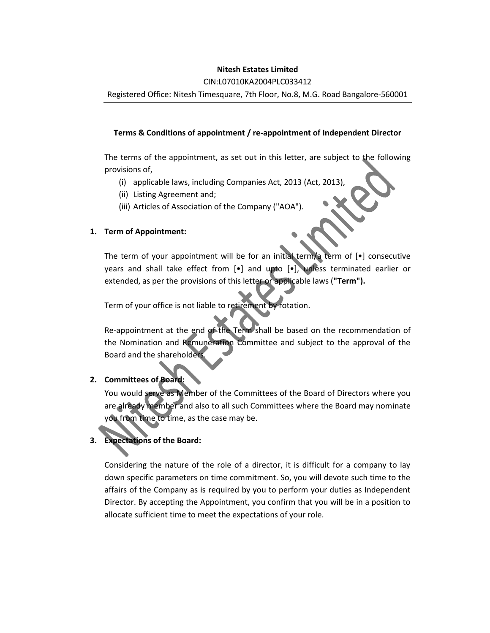# **Nitesh Estates Limited**

## CIN:L07010KA2004PLC033412

Registered Office: Nitesh Timesquare, 7th Floor, No.8, M.G. Road Bangalore-560001

# **Terms & Conditions of appointment / re-appointment of Independent Director**

The terms of the appointment, as set out in this letter, are subject to the following provisions of,

- (i) applicable laws, including Companies Act, 2013 (Act, 2013),
- (ii) Listing Agreement and;
- (iii) Articles of Association of the Company ("AOA").

# **1. Term of Appointment:**

The term of your appointment will be for an initial term/a term of [•] consecutive years and shall take effect from [•] and upto [•], unless terminated earlier or extended, as per the provisions of this letter or applicable laws (**"Term").**

Term of your office is not liable to retirement by rotation.

Re-appointment at the end of the Term shall be based on the recommendation of the Nomination and Remuneration Committee and subject to the approval of the Board and the shareholders.

# **2. Committees of Board:**

You would serve as Member of the Committees of the Board of Directors where you are already member and also to all such Committees where the Board may nominate you from time to time, as the case may be.

# **3. Expectations of the Board:**

Considering the nature of the role of a director, it is difficult for a company to lay down specific parameters on time commitment. So, you will devote such time to the affairs of the Company as is required by you to perform your duties as Independent Director. By accepting the Appointment, you confirm that you will be in a position to allocate sufficient time to meet the expectations of your role.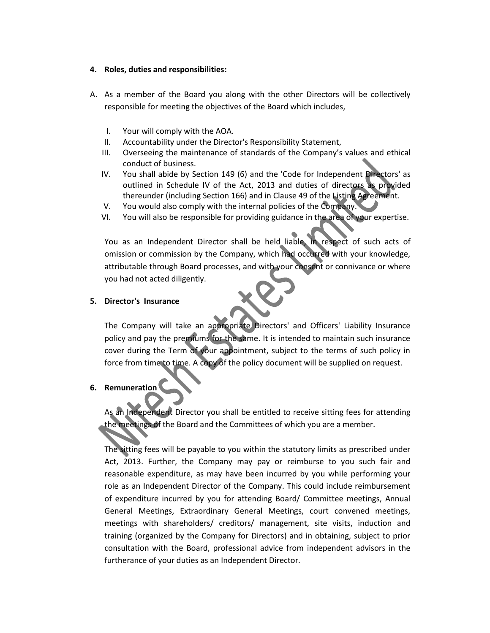#### **4. Roles, duties and responsibilities:**

- A. As a member of the Board you along with the other Directors will be collectively responsible for meeting the objectives of the Board which includes,
	- I. Your will comply with the AOA.
	- II. Accountability under the Director's Responsibility Statement,
	- III. Overseeing the maintenance of standards of the Company's values and ethical conduct of business.
	- IV. You shall abide by Section 149 (6) and the 'Code for Independent Directors' as outlined in Schedule IV of the Act, 2013 and duties of directors as provided thereunder (including Section 166) and in Clause 49 of the Listing Agreement.
	- V. You would also comply with the internal policies of the Company.
	- VI. You will also be responsible for providing guidance in the area of your expertise.

You as an Independent Director shall be held liable, in respect of such acts of omission or commission by the Company, which had occurred with your knowledge, attributable through Board processes, and with your consent or connivance or where you had not acted diligently.

## **5. Director's Insurance**

The Company will take an appropriate Directors' and Officers' Liability Insurance policy and pay the premiums for the same. It is intended to maintain such insurance cover during the Term of your appointment, subject to the terms of such policy in force from time to time. A copy of the policy document will be supplied on request.

**6. Remuneration**

As an Independent Director you shall be entitled to receive sitting fees for attending the meetings of the Board and the Committees of which you are a member.

The sitting fees will be payable to you within the statutory limits as prescribed under Act, 2013. Further, the Company may pay or reimburse to you such fair and reasonable expenditure, as may have been incurred by you while performing your role as an Independent Director of the Company. This could include reimbursement of expenditure incurred by you for attending Board/ Committee meetings, Annual General Meetings, Extraordinary General Meetings, court convened meetings, meetings with shareholders/ creditors/ management, site visits, induction and training (organized by the Company for Directors) and in obtaining, subject to prior consultation with the Board, professional advice from independent advisors in the furtherance of your duties as an Independent Director.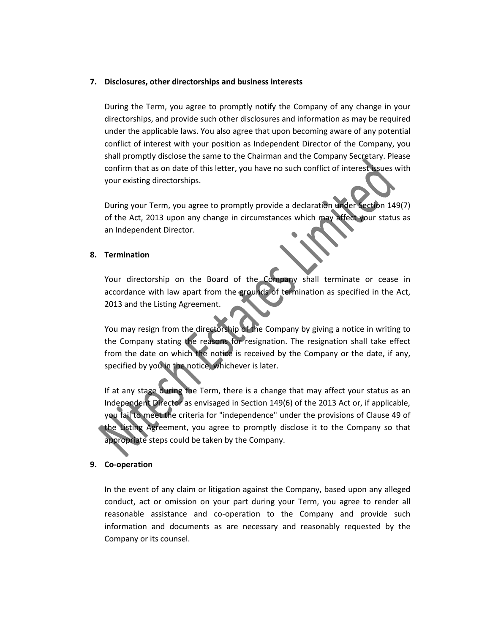#### **7. Disclosures, other directorships and business interests**

During the Term, you agree to promptly notify the Company of any change in your directorships, and provide such other disclosures and information as may be required under the applicable laws. You also agree that upon becoming aware of any potential conflict of interest with your position as Independent Director of the Company, you shall promptly disclose the same to the Chairman and the Company Secretary. Please confirm that as on date of this letter, you have no such conflict of interest issues with your existing directorships.

During your Term, you agree to promptly provide a declaration under Section 149(7) of the Act, 2013 upon any change in circumstances which may affect your status as an Independent Director.

#### **8. Termination**

Your directorship on the Board of the Company shall terminate or cease in accordance with law apart from the grounds of termination as specified in the Act, 2013 and the Listing Agreement.

You may resign from the directorship of the Company by giving a notice in writing to the Company stating the reasons for resignation. The resignation shall take effect from the date on which the notice is received by the Company or the date, if any, specified by you in the notice, whichever is later.

If at any stage during the Term, there is a change that may affect your status as an Independent Director as envisaged in Section 149(6) of the 2013 Act or, if applicable, you fail to meet the criteria for "independence" under the provisions of Clause 49 of the Listing Agreement, you agree to promptly disclose it to the Company so that appropriate steps could be taken by the Company.

#### **9. Co-operation**

In the event of any claim or litigation against the Company, based upon any alleged conduct, act or omission on your part during your Term, you agree to render all reasonable assistance and co-operation to the Company and provide such information and documents as are necessary and reasonably requested by the Company or its counsel.